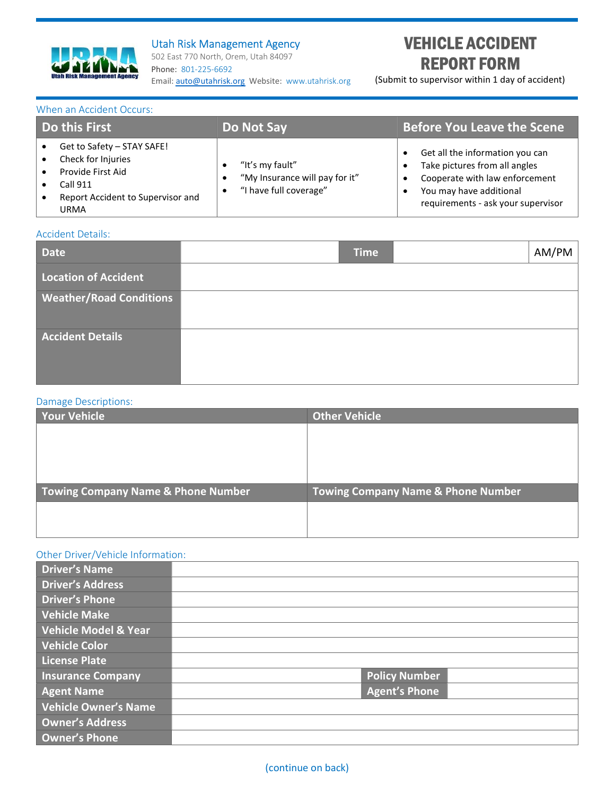

## Utah Risk Management Agency

502 East 770 North, Orem, Utah 84097 Phone: 801-225-6692 Email: auto@utahrisk.org Website: www.utahrisk.org

# VEHICLE ACCIDENT REPORT FORM

(Submit to supervisor within 1 day of accident)

#### When an Accident Occurs:

| Do this First                                                                                                                  | Do Not Say                                                                               | <b>Before You Leave the Scene</b>                                                                                                                                   |
|--------------------------------------------------------------------------------------------------------------------------------|------------------------------------------------------------------------------------------|---------------------------------------------------------------------------------------------------------------------------------------------------------------------|
| Get to Safety - STAY SAFE!<br>Check for Injuries<br>Provide First Aid<br>Call 911<br>Report Accident to Supervisor and<br>URMA | "It's my fault"<br>"My Insurance will pay for it"<br>"I have full coverage"<br>$\bullet$ | Get all the information you can<br>Take pictures from all angles<br>Cooperate with law enforcement<br>You may have additional<br>requirements - ask your supervisor |

#### Accident Details:

| <b>Date</b>                    | <b>Time</b> | AM/PM |
|--------------------------------|-------------|-------|
| Location of Accident           |             |       |
| <b>Weather/Road Conditions</b> |             |       |
| <b>Accident Details</b>        |             |       |

#### Damage Descriptions:

| <b>Other Vehicle</b>                          |
|-----------------------------------------------|
|                                               |
|                                               |
|                                               |
|                                               |
| <b>Towing Company Name &amp; Phone Number</b> |
|                                               |
|                                               |
|                                               |

### Other Driver/Vehicle Information:

| Driver's Name            |                      |  |
|--------------------------|----------------------|--|
| <b>Driver's Address</b>  |                      |  |
| <b>Driver's Phone</b>    |                      |  |
| <b>Vehicle Make</b>      |                      |  |
| Vehicle Model & Year     |                      |  |
| <b>Vehicle Color</b>     |                      |  |
| <b>License Plate</b>     |                      |  |
| <b>Insurance Company</b> | <b>Policy Number</b> |  |
| <b>Agent Name</b>        | <b>Agent's Phone</b> |  |
| Vehicle Owner's Name     |                      |  |
| <b>Owner's Address</b>   |                      |  |
| <b>Owner's Phone</b>     |                      |  |